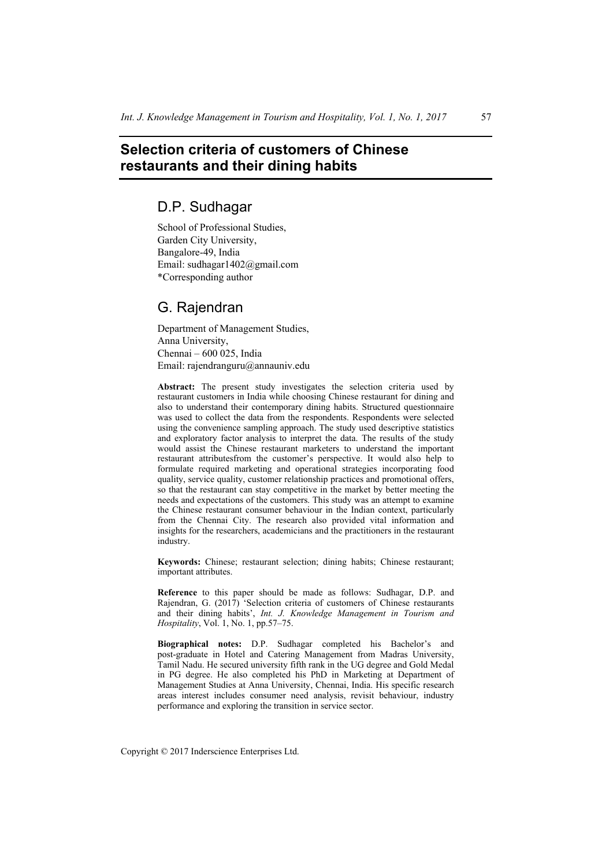# **Selection criteria of customers of Chinese restaurants and their dining habits**

# D.P. Sudhagar

School of Professional Studies, Garden City University, Bangalore-49, India Email: sudhagar1402@gmail.com \*Corresponding author

# G. Rajendran

Department of Management Studies, Anna University, Chennai – 600 025, India Email: rajendranguru@annauniv.edu

**Abstract:** The present study investigates the selection criteria used by restaurant customers in India while choosing Chinese restaurant for dining and also to understand their contemporary dining habits. Structured questionnaire was used to collect the data from the respondents. Respondents were selected using the convenience sampling approach. The study used descriptive statistics and exploratory factor analysis to interpret the data. The results of the study would assist the Chinese restaurant marketers to understand the important restaurant attributesfrom the customer's perspective. It would also help to formulate required marketing and operational strategies incorporating food quality, service quality, customer relationship practices and promotional offers, so that the restaurant can stay competitive in the market by better meeting the needs and expectations of the customers. This study was an attempt to examine the Chinese restaurant consumer behaviour in the Indian context, particularly from the Chennai City. The research also provided vital information and insights for the researchers, academicians and the practitioners in the restaurant industry.

**Keywords:** Chinese; restaurant selection; dining habits; Chinese restaurant; important attributes.

**Reference** to this paper should be made as follows: Sudhagar, D.P. and Rajendran, G. (2017) 'Selection criteria of customers of Chinese restaurants and their dining habits', *Int. J. Knowledge Management in Tourism and Hospitality*, Vol. 1, No. 1, pp.57–75.

**Biographical notes:** D.P. Sudhagar completed his Bachelor's and post-graduate in Hotel and Catering Management from Madras University, Tamil Nadu. He secured university fifth rank in the UG degree and Gold Medal in PG degree. He also completed his PhD in Marketing at Department of Management Studies at Anna University, Chennai, India. His specific research areas interest includes consumer need analysis, revisit behaviour, industry performance and exploring the transition in service sector.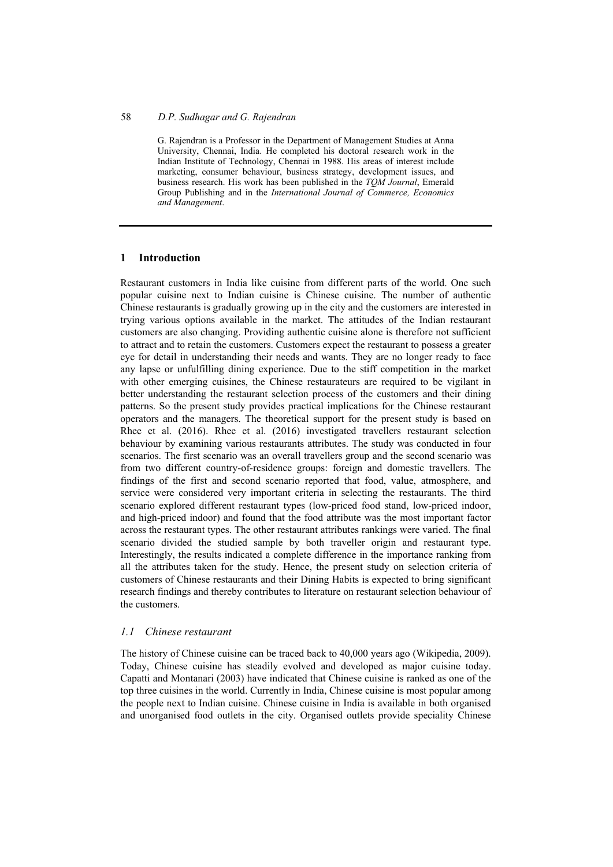G. Rajendran is a Professor in the Department of Management Studies at Anna University, Chennai, India. He completed his doctoral research work in the Indian Institute of Technology, Chennai in 1988. His areas of interest include marketing, consumer behaviour, business strategy, development issues, and business research. His work has been published in the *TQM Journal*, Emerald Group Publishing and in the *International Journal of Commerce, Economics and Management*.

## **1 Introduction**

Restaurant customers in India like cuisine from different parts of the world. One such popular cuisine next to Indian cuisine is Chinese cuisine. The number of authentic Chinese restaurants is gradually growing up in the city and the customers are interested in trying various options available in the market. The attitudes of the Indian restaurant customers are also changing. Providing authentic cuisine alone is therefore not sufficient to attract and to retain the customers. Customers expect the restaurant to possess a greater eye for detail in understanding their needs and wants. They are no longer ready to face any lapse or unfulfilling dining experience. Due to the stiff competition in the market with other emerging cuisines, the Chinese restaurateurs are required to be vigilant in better understanding the restaurant selection process of the customers and their dining patterns. So the present study provides practical implications for the Chinese restaurant operators and the managers. The theoretical support for the present study is based on Rhee et al. (2016). Rhee et al. (2016) investigated travellers restaurant selection behaviour by examining various restaurants attributes. The study was conducted in four scenarios. The first scenario was an overall travellers group and the second scenario was from two different country-of-residence groups: foreign and domestic travellers. The findings of the first and second scenario reported that food, value, atmosphere, and service were considered very important criteria in selecting the restaurants. The third scenario explored different restaurant types (low-priced food stand, low-priced indoor, and high-priced indoor) and found that the food attribute was the most important factor across the restaurant types. The other restaurant attributes rankings were varied. The final scenario divided the studied sample by both traveller origin and restaurant type. Interestingly, the results indicated a complete difference in the importance ranking from all the attributes taken for the study. Hence, the present study on selection criteria of customers of Chinese restaurants and their Dining Habits is expected to bring significant research findings and thereby contributes to literature on restaurant selection behaviour of the customers.

#### *1.1 Chinese restaurant*

The history of Chinese cuisine can be traced back to 40,000 years ago (Wikipedia, 2009). Today, Chinese cuisine has steadily evolved and developed as major cuisine today. Capatti and Montanari (2003) have indicated that Chinese cuisine is ranked as one of the top three cuisines in the world. Currently in India, Chinese cuisine is most popular among the people next to Indian cuisine. Chinese cuisine in India is available in both organised and unorganised food outlets in the city. Organised outlets provide speciality Chinese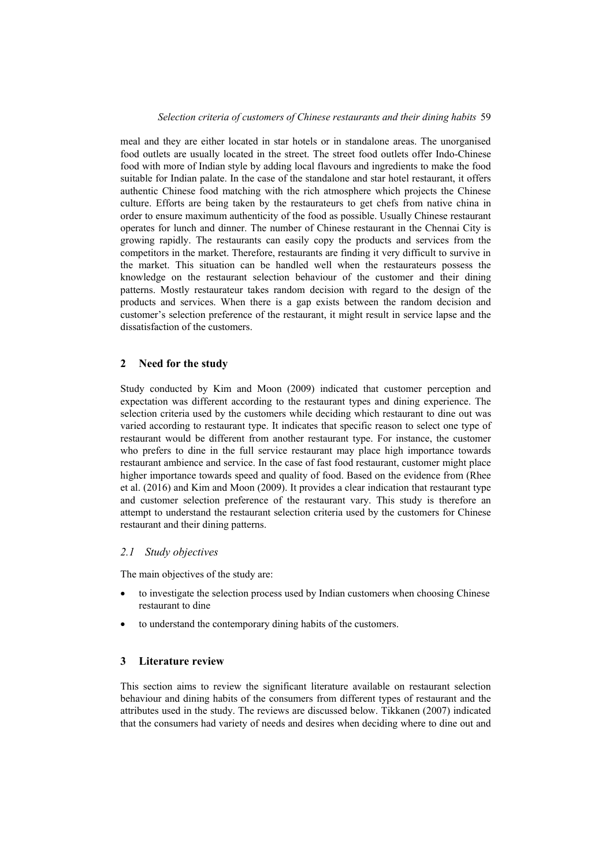meal and they are either located in star hotels or in standalone areas. The unorganised food outlets are usually located in the street. The street food outlets offer Indo-Chinese food with more of Indian style by adding local flavours and ingredients to make the food suitable for Indian palate. In the case of the standalone and star hotel restaurant, it offers authentic Chinese food matching with the rich atmosphere which projects the Chinese culture. Efforts are being taken by the restaurateurs to get chefs from native china in order to ensure maximum authenticity of the food as possible. Usually Chinese restaurant operates for lunch and dinner. The number of Chinese restaurant in the Chennai City is growing rapidly. The restaurants can easily copy the products and services from the competitors in the market. Therefore, restaurants are finding it very difficult to survive in the market. This situation can be handled well when the restaurateurs possess the knowledge on the restaurant selection behaviour of the customer and their dining patterns. Mostly restaurateur takes random decision with regard to the design of the products and services. When there is a gap exists between the random decision and customer's selection preference of the restaurant, it might result in service lapse and the dissatisfaction of the customers.

### **2 Need for the study**

Study conducted by Kim and Moon (2009) indicated that customer perception and expectation was different according to the restaurant types and dining experience. The selection criteria used by the customers while deciding which restaurant to dine out was varied according to restaurant type. It indicates that specific reason to select one type of restaurant would be different from another restaurant type. For instance, the customer who prefers to dine in the full service restaurant may place high importance towards restaurant ambience and service. In the case of fast food restaurant, customer might place higher importance towards speed and quality of food. Based on the evidence from (Rhee et al. (2016) and Kim and Moon (2009). It provides a clear indication that restaurant type and customer selection preference of the restaurant vary. This study is therefore an attempt to understand the restaurant selection criteria used by the customers for Chinese restaurant and their dining patterns.

### *2.1 Study objectives*

The main objectives of the study are:

- to investigate the selection process used by Indian customers when choosing Chinese restaurant to dine
- to understand the contemporary dining habits of the customers.

#### **3 Literature review**

This section aims to review the significant literature available on restaurant selection behaviour and dining habits of the consumers from different types of restaurant and the attributes used in the study. The reviews are discussed below. Tikkanen (2007) indicated that the consumers had variety of needs and desires when deciding where to dine out and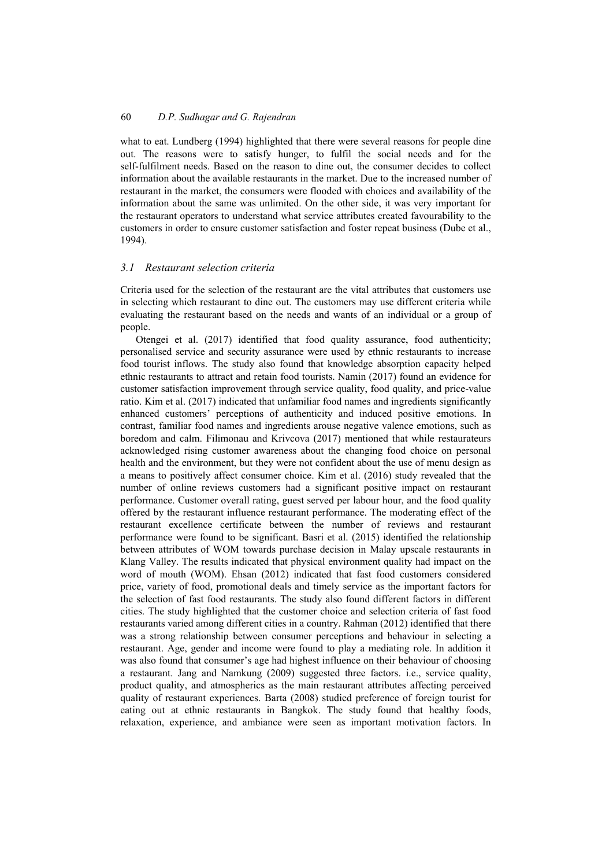what to eat. Lundberg (1994) highlighted that there were several reasons for people dine out. The reasons were to satisfy hunger, to fulfil the social needs and for the self-fulfilment needs. Based on the reason to dine out, the consumer decides to collect information about the available restaurants in the market. Due to the increased number of restaurant in the market, the consumers were flooded with choices and availability of the information about the same was unlimited. On the other side, it was very important for the restaurant operators to understand what service attributes created favourability to the customers in order to ensure customer satisfaction and foster repeat business (Dube et al., 1994).

#### *3.1 Restaurant selection criteria*

Criteria used for the selection of the restaurant are the vital attributes that customers use in selecting which restaurant to dine out. The customers may use different criteria while evaluating the restaurant based on the needs and wants of an individual or a group of people.

Otengei et al. (2017) identified that food quality assurance, food authenticity; personalised service and security assurance were used by ethnic restaurants to increase food tourist inflows. The study also found that knowledge absorption capacity helped ethnic restaurants to attract and retain food tourists. Namin (2017) found an evidence for customer satisfaction improvement through service quality, food quality, and price-value ratio. Kim et al. (2017) indicated that unfamiliar food names and ingredients significantly enhanced customers' perceptions of authenticity and induced positive emotions. In contrast, familiar food names and ingredients arouse negative valence emotions, such as boredom and calm. Filimonau and Krivcova (2017) mentioned that while restaurateurs acknowledged rising customer awareness about the changing food choice on personal health and the environment, but they were not confident about the use of menu design as a means to positively affect consumer choice. Kim et al. (2016) study revealed that the number of online reviews customers had a significant positive impact on restaurant performance. Customer overall rating, guest served per labour hour, and the food quality offered by the restaurant influence restaurant performance. The moderating effect of the restaurant excellence certificate between the number of reviews and restaurant performance were found to be significant. Basri et al. (2015) identified the relationship between attributes of WOM towards purchase decision in Malay upscale restaurants in Klang Valley. The results indicated that physical environment quality had impact on the word of mouth (WOM). Ehsan (2012) indicated that fast food customers considered price, variety of food, promotional deals and timely service as the important factors for the selection of fast food restaurants. The study also found different factors in different cities. The study highlighted that the customer choice and selection criteria of fast food restaurants varied among different cities in a country. Rahman (2012) identified that there was a strong relationship between consumer perceptions and behaviour in selecting a restaurant. Age, gender and income were found to play a mediating role. In addition it was also found that consumer's age had highest influence on their behaviour of choosing a restaurant. Jang and Namkung (2009) suggested three factors. i.e., service quality, product quality, and atmospherics as the main restaurant attributes affecting perceived quality of restaurant experiences. Barta (2008) studied preference of foreign tourist for eating out at ethnic restaurants in Bangkok. The study found that healthy foods, relaxation, experience, and ambiance were seen as important motivation factors. In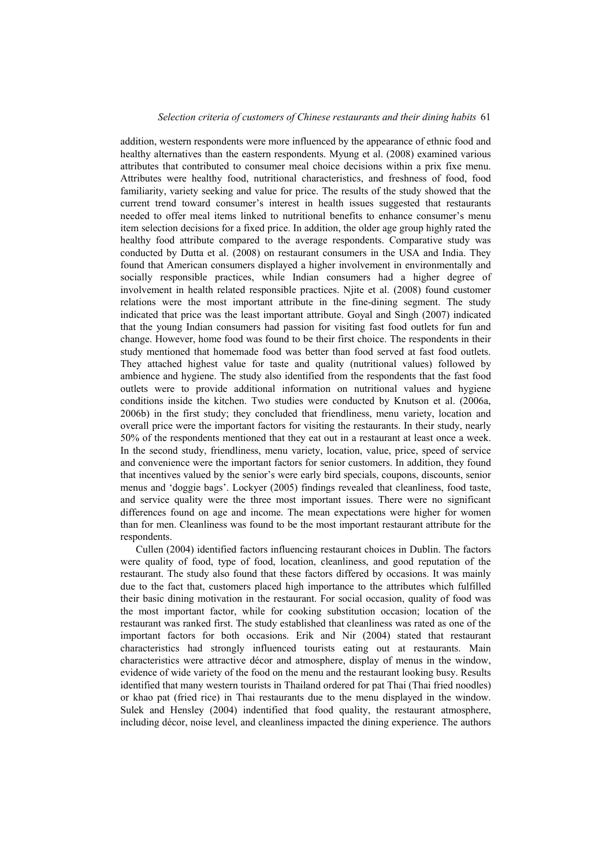addition, western respondents were more influenced by the appearance of ethnic food and healthy alternatives than the eastern respondents. Myung et al. (2008) examined various attributes that contributed to consumer meal choice decisions within a prix fixe menu. Attributes were healthy food, nutritional characteristics, and freshness of food, food familiarity, variety seeking and value for price. The results of the study showed that the current trend toward consumer's interest in health issues suggested that restaurants needed to offer meal items linked to nutritional benefits to enhance consumer's menu item selection decisions for a fixed price. In addition, the older age group highly rated the healthy food attribute compared to the average respondents. Comparative study was conducted by Dutta et al. (2008) on restaurant consumers in the USA and India. They found that American consumers displayed a higher involvement in environmentally and socially responsible practices, while Indian consumers had a higher degree of involvement in health related responsible practices. Njite et al. (2008) found customer relations were the most important attribute in the fine-dining segment. The study indicated that price was the least important attribute. Goyal and Singh (2007) indicated that the young Indian consumers had passion for visiting fast food outlets for fun and change. However, home food was found to be their first choice. The respondents in their study mentioned that homemade food was better than food served at fast food outlets. They attached highest value for taste and quality (nutritional values) followed by ambience and hygiene. The study also identified from the respondents that the fast food outlets were to provide additional information on nutritional values and hygiene conditions inside the kitchen. Two studies were conducted by Knutson et al. (2006a, 2006b) in the first study; they concluded that friendliness, menu variety, location and overall price were the important factors for visiting the restaurants. In their study, nearly 50% of the respondents mentioned that they eat out in a restaurant at least once a week. In the second study, friendliness, menu variety, location, value, price, speed of service and convenience were the important factors for senior customers. In addition, they found that incentives valued by the senior's were early bird specials, coupons, discounts, senior menus and 'doggie bags'. Lockyer (2005) findings revealed that cleanliness, food taste, and service quality were the three most important issues. There were no significant differences found on age and income. The mean expectations were higher for women than for men. Cleanliness was found to be the most important restaurant attribute for the respondents.

Cullen (2004) identified factors influencing restaurant choices in Dublin. The factors were quality of food, type of food, location, cleanliness, and good reputation of the restaurant. The study also found that these factors differed by occasions. It was mainly due to the fact that, customers placed high importance to the attributes which fulfilled their basic dining motivation in the restaurant. For social occasion, quality of food was the most important factor, while for cooking substitution occasion; location of the restaurant was ranked first. The study established that cleanliness was rated as one of the important factors for both occasions. Erik and Nir (2004) stated that restaurant characteristics had strongly influenced tourists eating out at restaurants. Main characteristics were attractive décor and atmosphere, display of menus in the window, evidence of wide variety of the food on the menu and the restaurant looking busy. Results identified that many western tourists in Thailand ordered for pat Thai (Thai fried noodles) or khao pat (fried rice) in Thai restaurants due to the menu displayed in the window. Sulek and Hensley (2004) indentified that food quality, the restaurant atmosphere, including décor, noise level, and cleanliness impacted the dining experience. The authors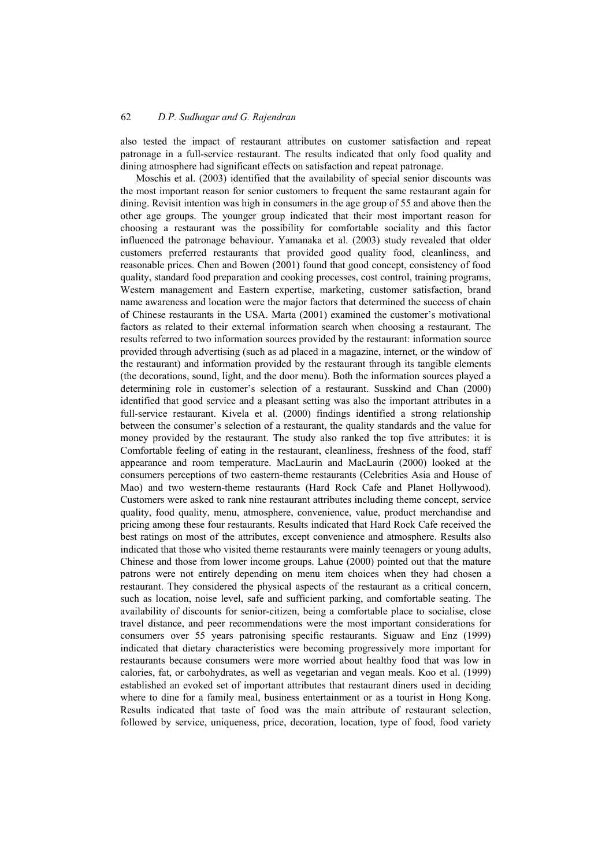also tested the impact of restaurant attributes on customer satisfaction and repeat patronage in a full-service restaurant. The results indicated that only food quality and dining atmosphere had significant effects on satisfaction and repeat patronage.

Moschis et al. (2003) identified that the availability of special senior discounts was the most important reason for senior customers to frequent the same restaurant again for dining. Revisit intention was high in consumers in the age group of 55 and above then the other age groups. The younger group indicated that their most important reason for choosing a restaurant was the possibility for comfortable sociality and this factor influenced the patronage behaviour. Yamanaka et al. (2003) study revealed that older customers preferred restaurants that provided good quality food, cleanliness, and reasonable prices. Chen and Bowen (2001) found that good concept, consistency of food quality, standard food preparation and cooking processes, cost control, training programs, Western management and Eastern expertise, marketing, customer satisfaction, brand name awareness and location were the major factors that determined the success of chain of Chinese restaurants in the USA. Marta (2001) examined the customer's motivational factors as related to their external information search when choosing a restaurant. The results referred to two information sources provided by the restaurant: information source provided through advertising (such as ad placed in a magazine, internet, or the window of the restaurant) and information provided by the restaurant through its tangible elements (the decorations, sound, light, and the door menu). Both the information sources played a determining role in customer's selection of a restaurant. Susskind and Chan (2000) identified that good service and a pleasant setting was also the important attributes in a full-service restaurant. Kivela et al. (2000) findings identified a strong relationship between the consumer's selection of a restaurant, the quality standards and the value for money provided by the restaurant. The study also ranked the top five attributes: it is Comfortable feeling of eating in the restaurant, cleanliness, freshness of the food, staff appearance and room temperature. MacLaurin and MacLaurin (2000) looked at the consumers perceptions of two eastern-theme restaurants (Celebrities Asia and House of Mao) and two western-theme restaurants (Hard Rock Cafe and Planet Hollywood). Customers were asked to rank nine restaurant attributes including theme concept, service quality, food quality, menu, atmosphere, convenience, value, product merchandise and pricing among these four restaurants. Results indicated that Hard Rock Cafe received the best ratings on most of the attributes, except convenience and atmosphere. Results also indicated that those who visited theme restaurants were mainly teenagers or young adults, Chinese and those from lower income groups. Lahue (2000) pointed out that the mature patrons were not entirely depending on menu item choices when they had chosen a restaurant. They considered the physical aspects of the restaurant as a critical concern, such as location, noise level, safe and sufficient parking, and comfortable seating. The availability of discounts for senior-citizen, being a comfortable place to socialise, close travel distance, and peer recommendations were the most important considerations for consumers over 55 years patronising specific restaurants. Siguaw and Enz (1999) indicated that dietary characteristics were becoming progressively more important for restaurants because consumers were more worried about healthy food that was low in calories, fat, or carbohydrates, as well as vegetarian and vegan meals. Koo et al. (1999) established an evoked set of important attributes that restaurant diners used in deciding where to dine for a family meal, business entertainment or as a tourist in Hong Kong. Results indicated that taste of food was the main attribute of restaurant selection, followed by service, uniqueness, price, decoration, location, type of food, food variety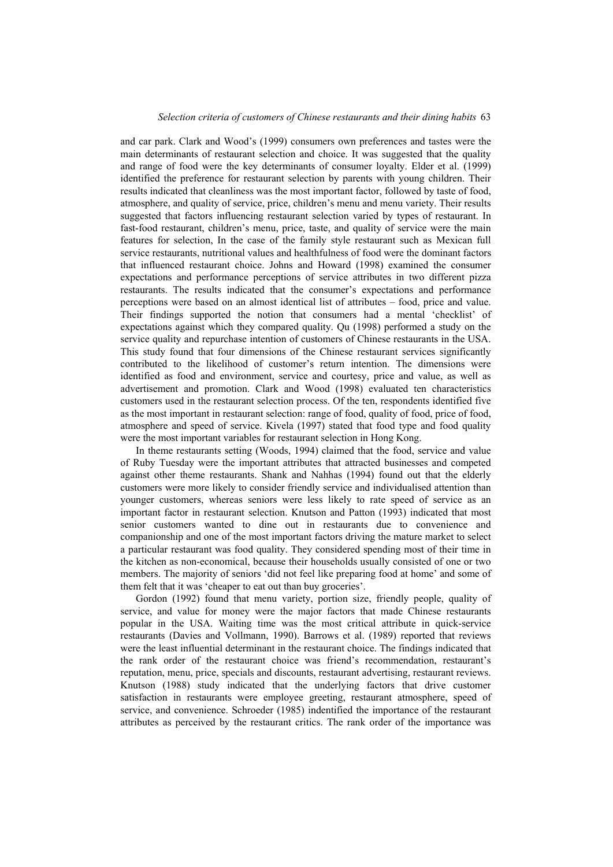#### *Selection criteria of customers of Chinese restaurants and their dining habits* 63

and car park. Clark and Wood's (1999) consumers own preferences and tastes were the main determinants of restaurant selection and choice. It was suggested that the quality and range of food were the key determinants of consumer loyalty. Elder et al. (1999) identified the preference for restaurant selection by parents with young children. Their results indicated that cleanliness was the most important factor, followed by taste of food, atmosphere, and quality of service, price, children's menu and menu variety. Their results suggested that factors influencing restaurant selection varied by types of restaurant. In fast-food restaurant, children's menu, price, taste, and quality of service were the main features for selection, In the case of the family style restaurant such as Mexican full service restaurants, nutritional values and healthfulness of food were the dominant factors that influenced restaurant choice. Johns and Howard (1998) examined the consumer expectations and performance perceptions of service attributes in two different pizza restaurants. The results indicated that the consumer's expectations and performance perceptions were based on an almost identical list of attributes – food, price and value. Their findings supported the notion that consumers had a mental 'checklist' of expectations against which they compared quality. Qu (1998) performed a study on the service quality and repurchase intention of customers of Chinese restaurants in the USA. This study found that four dimensions of the Chinese restaurant services significantly contributed to the likelihood of customer's return intention. The dimensions were identified as food and environment, service and courtesy, price and value, as well as advertisement and promotion. Clark and Wood (1998) evaluated ten characteristics customers used in the restaurant selection process. Of the ten, respondents identified five as the most important in restaurant selection: range of food, quality of food, price of food, atmosphere and speed of service. Kivela (1997) stated that food type and food quality were the most important variables for restaurant selection in Hong Kong.

In theme restaurants setting (Woods, 1994) claimed that the food, service and value of Ruby Tuesday were the important attributes that attracted businesses and competed against other theme restaurants. Shank and Nahhas (1994) found out that the elderly customers were more likely to consider friendly service and individualised attention than younger customers, whereas seniors were less likely to rate speed of service as an important factor in restaurant selection. Knutson and Patton (1993) indicated that most senior customers wanted to dine out in restaurants due to convenience and companionship and one of the most important factors driving the mature market to select a particular restaurant was food quality. They considered spending most of their time in the kitchen as non-economical, because their households usually consisted of one or two members. The majority of seniors 'did not feel like preparing food at home' and some of them felt that it was 'cheaper to eat out than buy groceries'.

Gordon (1992) found that menu variety, portion size, friendly people, quality of service, and value for money were the major factors that made Chinese restaurants popular in the USA. Waiting time was the most critical attribute in quick-service restaurants (Davies and Vollmann, 1990). Barrows et al. (1989) reported that reviews were the least influential determinant in the restaurant choice. The findings indicated that the rank order of the restaurant choice was friend's recommendation, restaurant's reputation, menu, price, specials and discounts, restaurant advertising, restaurant reviews. Knutson (1988) study indicated that the underlying factors that drive customer satisfaction in restaurants were employee greeting, restaurant atmosphere, speed of service, and convenience. Schroeder (1985) indentified the importance of the restaurant attributes as perceived by the restaurant critics. The rank order of the importance was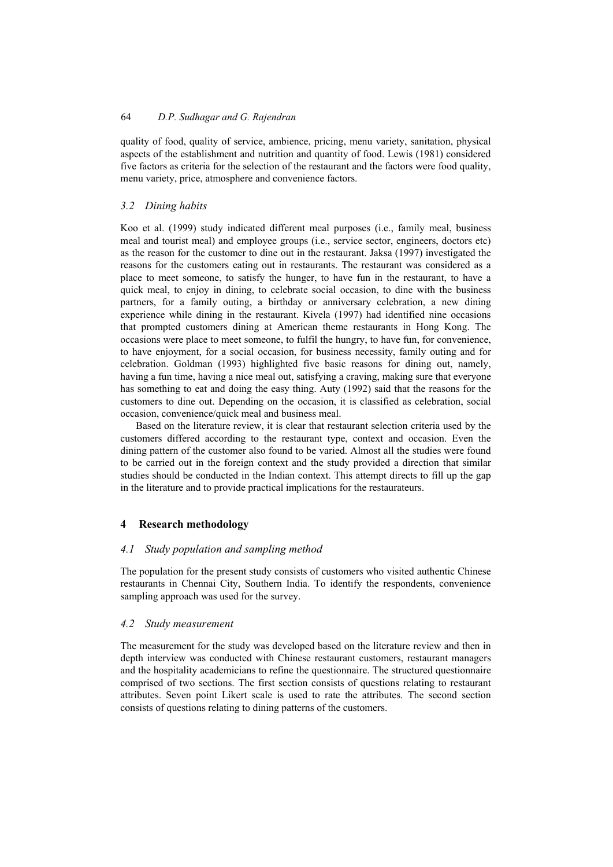quality of food, quality of service, ambience, pricing, menu variety, sanitation, physical aspects of the establishment and nutrition and quantity of food. Lewis (1981) considered five factors as criteria for the selection of the restaurant and the factors were food quality, menu variety, price, atmosphere and convenience factors.

#### *3.2 Dining habits*

Koo et al. (1999) study indicated different meal purposes (i.e., family meal, business meal and tourist meal) and employee groups (i.e., service sector, engineers, doctors etc) as the reason for the customer to dine out in the restaurant. Jaksa (1997) investigated the reasons for the customers eating out in restaurants. The restaurant was considered as a place to meet someone, to satisfy the hunger, to have fun in the restaurant, to have a quick meal, to enjoy in dining, to celebrate social occasion, to dine with the business partners, for a family outing, a birthday or anniversary celebration, a new dining experience while dining in the restaurant. Kivela (1997) had identified nine occasions that prompted customers dining at American theme restaurants in Hong Kong. The occasions were place to meet someone, to fulfil the hungry, to have fun, for convenience, to have enjoyment, for a social occasion, for business necessity, family outing and for celebration. Goldman (1993) highlighted five basic reasons for dining out, namely, having a fun time, having a nice meal out, satisfying a craving, making sure that everyone has something to eat and doing the easy thing. Auty (1992) said that the reasons for the customers to dine out. Depending on the occasion, it is classified as celebration, social occasion, convenience/quick meal and business meal.

Based on the literature review, it is clear that restaurant selection criteria used by the customers differed according to the restaurant type, context and occasion. Even the dining pattern of the customer also found to be varied. Almost all the studies were found to be carried out in the foreign context and the study provided a direction that similar studies should be conducted in the Indian context. This attempt directs to fill up the gap in the literature and to provide practical implications for the restaurateurs.

# **4 Research methodology**

#### *4.1 Study population and sampling method*

The population for the present study consists of customers who visited authentic Chinese restaurants in Chennai City, Southern India. To identify the respondents, convenience sampling approach was used for the survey.

## *4.2 Study measurement*

The measurement for the study was developed based on the literature review and then in depth interview was conducted with Chinese restaurant customers, restaurant managers and the hospitality academicians to refine the questionnaire. The structured questionnaire comprised of two sections. The first section consists of questions relating to restaurant attributes. Seven point Likert scale is used to rate the attributes. The second section consists of questions relating to dining patterns of the customers.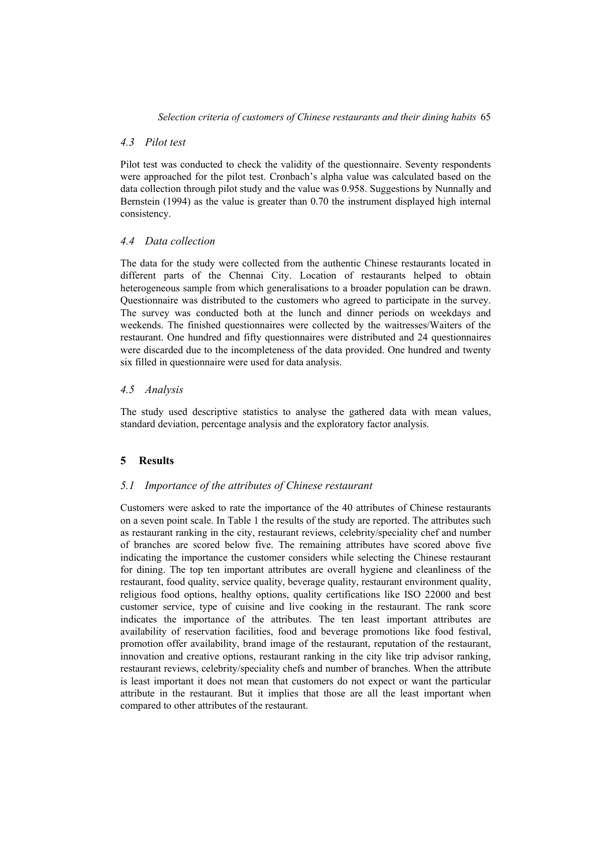# *4.3 Pilot test*

Pilot test was conducted to check the validity of the questionnaire. Seventy respondents were approached for the pilot test. Cronbach's alpha value was calculated based on the data collection through pilot study and the value was 0.958. Suggestions by Nunnally and Bernstein (1994) as the value is greater than 0.70 the instrument displayed high internal consistency.

### *4.4 Data collection*

The data for the study were collected from the authentic Chinese restaurants located in different parts of the Chennai City. Location of restaurants helped to obtain heterogeneous sample from which generalisations to a broader population can be drawn. Questionnaire was distributed to the customers who agreed to participate in the survey. The survey was conducted both at the lunch and dinner periods on weekdays and weekends. The finished questionnaires were collected by the waitresses/Waiters of the restaurant. One hundred and fifty questionnaires were distributed and 24 questionnaires were discarded due to the incompleteness of the data provided. One hundred and twenty six filled in questionnaire were used for data analysis.

# *4.5 Analysis*

The study used descriptive statistics to analyse the gathered data with mean values, standard deviation, percentage analysis and the exploratory factor analysis.

## **5 Results**

## *5.1 Importance of the attributes of Chinese restaurant*

Customers were asked to rate the importance of the 40 attributes of Chinese restaurants on a seven point scale. In Table 1 the results of the study are reported. The attributes such as restaurant ranking in the city, restaurant reviews, celebrity/speciality chef and number of branches are scored below five. The remaining attributes have scored above five indicating the importance the customer considers while selecting the Chinese restaurant for dining. The top ten important attributes are overall hygiene and cleanliness of the restaurant, food quality, service quality, beverage quality, restaurant environment quality, religious food options, healthy options, quality certifications like ISO 22000 and best customer service, type of cuisine and live cooking in the restaurant. The rank score indicates the importance of the attributes. The ten least important attributes are availability of reservation facilities, food and beverage promotions like food festival, promotion offer availability, brand image of the restaurant, reputation of the restaurant, innovation and creative options, restaurant ranking in the city like trip advisor ranking, restaurant reviews, celebrity/speciality chefs and number of branches. When the attribute is least important it does not mean that customers do not expect or want the particular attribute in the restaurant. But it implies that those are all the least important when compared to other attributes of the restaurant.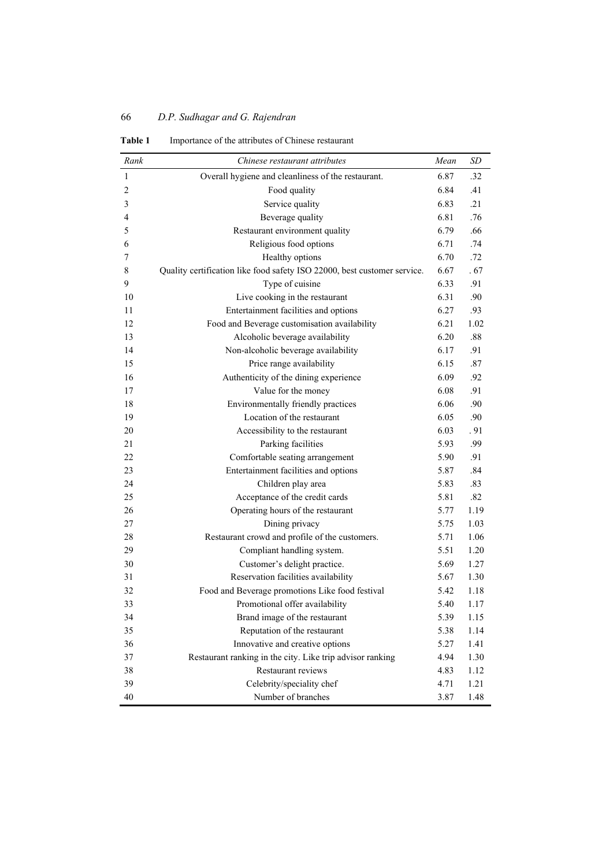| Rank           | Chinese restaurant attributes                                            | Mean | SD   |
|----------------|--------------------------------------------------------------------------|------|------|
| $\mathbf{1}$   | Overall hygiene and cleanliness of the restaurant.                       | 6.87 | .32  |
| $\overline{c}$ | Food quality                                                             | 6.84 | .41  |
| 3              | Service quality                                                          | 6.83 | .21  |
| 4              | Beverage quality                                                         | 6.81 | .76  |
| 5              | Restaurant environment quality                                           | 6.79 | .66  |
| 6              | Religious food options                                                   | 6.71 | .74  |
| 7              | Healthy options                                                          | 6.70 | .72  |
| 8              | Quality certification like food safety ISO 22000, best customer service. | 6.67 | .67  |
| 9              | Type of cuisine                                                          | 6.33 | .91  |
| 10             | Live cooking in the restaurant                                           | 6.31 | .90  |
| 11             | Entertainment facilities and options                                     | 6.27 | .93  |
| 12             | Food and Beverage customisation availability                             | 6.21 | 1.02 |
| 13             | Alcoholic beverage availability                                          | 6.20 | .88  |
| 14             | Non-alcoholic beverage availability                                      | 6.17 | .91  |
| 15             | Price range availability                                                 | 6.15 | .87  |
| 16             | Authenticity of the dining experience                                    | 6.09 | .92  |
| 17             | Value for the money                                                      | 6.08 | .91  |
| 18             | Environmentally friendly practices                                       | 6.06 | .90  |
| 19             | Location of the restaurant                                               | 6.05 | .90  |
| 20             | Accessibility to the restaurant                                          | 6.03 | .91  |
| 21             | Parking facilities                                                       | 5.93 | .99  |
| 22             | Comfortable seating arrangement                                          | 5.90 | .91  |
| 23             | Entertainment facilities and options                                     | 5.87 | .84  |
| 24             | Children play area                                                       | 5.83 | .83  |
| 25             | Acceptance of the credit cards                                           | 5.81 | .82  |
| 26             | Operating hours of the restaurant                                        | 5.77 | 1.19 |
| 27             | Dining privacy                                                           | 5.75 | 1.03 |
| 28             | Restaurant crowd and profile of the customers.                           | 5.71 | 1.06 |
| 29             | Compliant handling system.                                               | 5.51 | 1.20 |
| 30             | Customer's delight practice.                                             | 5.69 | 1.27 |
| 31             | Reservation facilities availability                                      | 5.67 | 1.30 |
| 32             | Food and Beverage promotions Like food festival                          | 5.42 | 1.18 |
| 33             | Promotional offer availability                                           | 5.40 | 1.17 |
| 34             | Brand image of the restaurant                                            | 5.39 | 1.15 |
| 35             | Reputation of the restaurant                                             | 5.38 | 1.14 |
| 36             | Innovative and creative options                                          | 5.27 | 1.41 |
| 37             | Restaurant ranking in the city. Like trip advisor ranking                | 4.94 | 1.30 |
| 38             | Restaurant reviews                                                       | 4.83 | 1.12 |
| 39             | Celebrity/speciality chef                                                | 4.71 | 1.21 |
| 40             | Number of branches                                                       | 3.87 | 1.48 |

**Table 1** Importance of the attributes of Chinese restaurant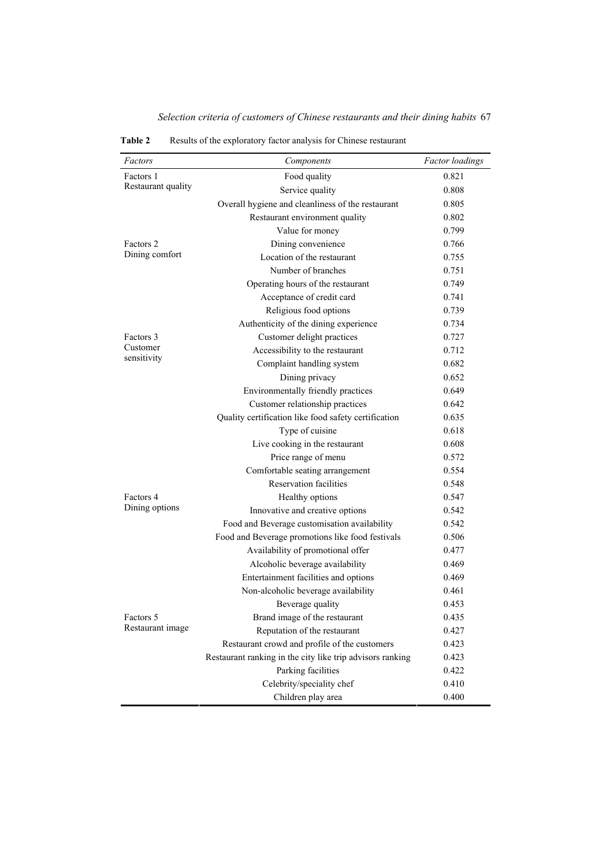| Selection criteria of customers of Chinese restaurants and their dining habits 67 |
|-----------------------------------------------------------------------------------|
|-----------------------------------------------------------------------------------|

| Factors            | Components                                                | <b>Factor</b> loadings |
|--------------------|-----------------------------------------------------------|------------------------|
| Factors 1          | Food quality                                              | 0.821                  |
| Restaurant quality | Service quality                                           | 0.808                  |
|                    | Overall hygiene and cleanliness of the restaurant         | 0.805                  |
|                    | Restaurant environment quality                            | 0.802                  |
|                    | Value for money                                           | 0.799                  |
| Factors 2          | Dining convenience                                        | 0.766                  |
| Dining comfort     | Location of the restaurant                                | 0.755                  |
|                    | Number of branches                                        | 0.751                  |
|                    | Operating hours of the restaurant                         | 0.749                  |
|                    | Acceptance of credit card                                 | 0.741                  |
|                    | Religious food options                                    | 0.739                  |
|                    | Authenticity of the dining experience                     | 0.734                  |
| Factors 3          | Customer delight practices                                | 0.727                  |
| Customer           | Accessibility to the restaurant                           | 0.712                  |
| sensitivity        | Complaint handling system                                 | 0.682                  |
|                    | Dining privacy                                            | 0.652                  |
|                    | Environmentally friendly practices                        | 0.649                  |
|                    | Customer relationship practices                           | 0.642                  |
|                    | Quality certification like food safety certification      | 0.635                  |
|                    | Type of cuisine                                           | 0.618                  |
|                    | Live cooking in the restaurant                            | 0.608                  |
|                    | Price range of menu                                       | 0.572                  |
|                    | Comfortable seating arrangement                           | 0.554                  |
|                    | <b>Reservation facilities</b>                             | 0.548                  |
| Factors 4          | Healthy options                                           | 0.547                  |
| Dining options     | Innovative and creative options                           | 0.542                  |
|                    | Food and Beverage customisation availability              | 0.542                  |
|                    | Food and Beverage promotions like food festivals          | 0.506                  |
|                    | Availability of promotional offer                         | 0.477                  |
|                    | Alcoholic beverage availability                           | 0.469                  |
|                    | Entertainment facilities and options                      | 0.469                  |
|                    | Non-alcoholic beverage availability                       | 0.461                  |
|                    | Beverage quality                                          | 0.453                  |
| Factors 5          | Brand image of the restaurant                             | 0.435                  |
| Restaurant image   | Reputation of the restaurant                              | 0.427                  |
|                    | Restaurant crowd and profile of the customers             | 0.423                  |
|                    | Restaurant ranking in the city like trip advisors ranking | 0.423                  |
|                    | Parking facilities                                        | 0.422                  |
|                    | Celebrity/speciality chef                                 | 0.410                  |
|                    | Children play area                                        | 0.400                  |

**Table 2** Results of the exploratory factor analysis for Chinese restaurant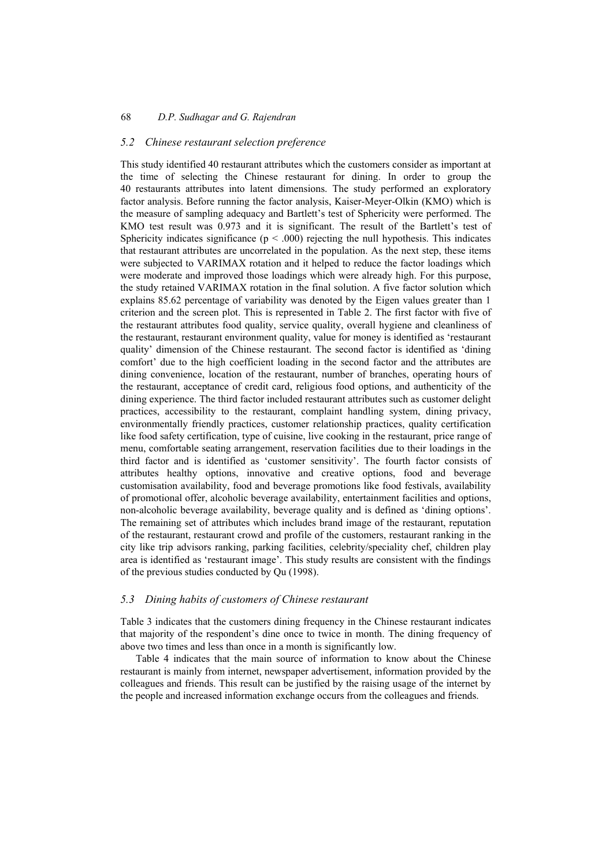#### *5.2 Chinese restaurant selection preference*

This study identified 40 restaurant attributes which the customers consider as important at the time of selecting the Chinese restaurant for dining. In order to group the 40 restaurants attributes into latent dimensions. The study performed an exploratory factor analysis. Before running the factor analysis, Kaiser-Meyer-Olkin (KMO) which is the measure of sampling adequacy and Bartlett's test of Sphericity were performed. The KMO test result was 0.973 and it is significant. The result of the Bartlett's test of Sphericity indicates significance ( $p < .000$ ) rejecting the null hypothesis. This indicates that restaurant attributes are uncorrelated in the population. As the next step, these items were subjected to VARIMAX rotation and it helped to reduce the factor loadings which were moderate and improved those loadings which were already high. For this purpose, the study retained VARIMAX rotation in the final solution. A five factor solution which explains 85.62 percentage of variability was denoted by the Eigen values greater than 1 criterion and the screen plot. This is represented in Table 2. The first factor with five of the restaurant attributes food quality, service quality, overall hygiene and cleanliness of the restaurant, restaurant environment quality, value for money is identified as 'restaurant quality' dimension of the Chinese restaurant. The second factor is identified as 'dining comfort' due to the high coefficient loading in the second factor and the attributes are dining convenience, location of the restaurant, number of branches, operating hours of the restaurant, acceptance of credit card, religious food options, and authenticity of the dining experience. The third factor included restaurant attributes such as customer delight practices, accessibility to the restaurant, complaint handling system, dining privacy, environmentally friendly practices, customer relationship practices, quality certification like food safety certification, type of cuisine, live cooking in the restaurant, price range of menu, comfortable seating arrangement, reservation facilities due to their loadings in the third factor and is identified as 'customer sensitivity'. The fourth factor consists of attributes healthy options, innovative and creative options, food and beverage customisation availability, food and beverage promotions like food festivals, availability of promotional offer, alcoholic beverage availability, entertainment facilities and options, non-alcoholic beverage availability, beverage quality and is defined as 'dining options'. The remaining set of attributes which includes brand image of the restaurant, reputation of the restaurant, restaurant crowd and profile of the customers, restaurant ranking in the city like trip advisors ranking, parking facilities, celebrity/speciality chef, children play area is identified as 'restaurant image'. This study results are consistent with the findings of the previous studies conducted by Qu (1998).

#### *5.3 Dining habits of customers of Chinese restaurant*

Table 3 indicates that the customers dining frequency in the Chinese restaurant indicates that majority of the respondent's dine once to twice in month. The dining frequency of above two times and less than once in a month is significantly low.

Table 4 indicates that the main source of information to know about the Chinese restaurant is mainly from internet, newspaper advertisement, information provided by the colleagues and friends. This result can be justified by the raising usage of the internet by the people and increased information exchange occurs from the colleagues and friends.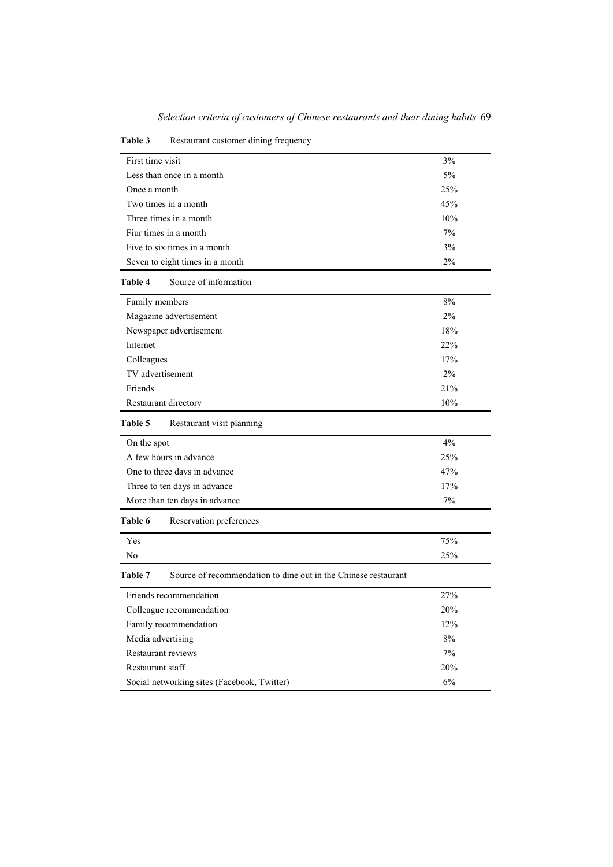| Selection criteria of customers of Chinese restaurants and their dining habits 69 |  |  |  |  |  |
|-----------------------------------------------------------------------------------|--|--|--|--|--|
|                                                                                   |  |  |  |  |  |

| First time visit |                                                                | 3%    |
|------------------|----------------------------------------------------------------|-------|
|                  | Less than once in a month                                      | 5%    |
| Once a month     |                                                                | 25%   |
|                  | Two times in a month                                           | 45%   |
|                  | Three times in a month                                         | 10%   |
|                  | Fiur times in a month                                          | 7%    |
|                  | Five to six times in a month                                   | 3%    |
|                  | Seven to eight times in a month                                | 2%    |
| Table 4          | Source of information                                          |       |
| Family members   |                                                                | $8\%$ |
|                  | Magazine advertisement                                         | $2\%$ |
|                  | Newspaper advertisement                                        | 18%   |
| Internet         |                                                                | 22%   |
| Colleagues       |                                                                | 17%   |
|                  | TV advertisement                                               | $2\%$ |
| Friends          |                                                                | 21%   |
|                  | Restaurant directory                                           | 10%   |
| Table 5          | Restaurant visit planning                                      |       |
| On the spot      |                                                                | 4%    |
|                  | A few hours in advance                                         | 25%   |
|                  | One to three days in advance                                   | 47%   |
|                  | Three to ten days in advance                                   | 17%   |
|                  | More than ten days in advance                                  | $7\%$ |
| Table 6          | Reservation preferences                                        |       |
| Yes              |                                                                | 75%   |
| No               |                                                                | 25%   |
| Table 7          | Source of recommendation to dine out in the Chinese restaurant |       |
|                  | Friends recommendation                                         | 27%   |
|                  | Colleague recommendation                                       | 20%   |
|                  | Family recommendation                                          | 12%   |
|                  | Media advertising                                              | $8\%$ |
|                  | Restaurant reviews                                             | $7\%$ |
| Restaurant staff |                                                                | 20%   |
|                  | Social networking sites (Facebook, Twitter)                    | $6\%$ |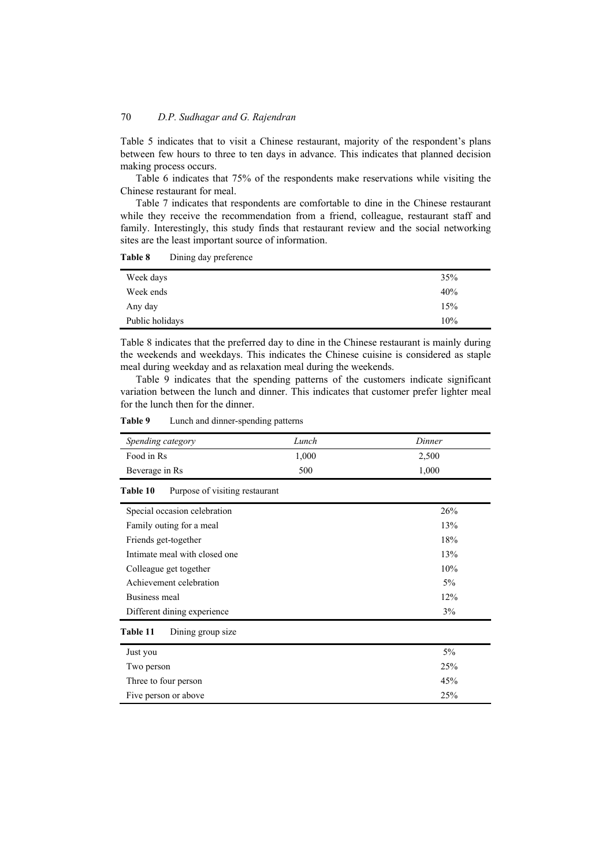Table 5 indicates that to visit a Chinese restaurant, majority of the respondent's plans between few hours to three to ten days in advance. This indicates that planned decision making process occurs.

Table 6 indicates that 75% of the respondents make reservations while visiting the Chinese restaurant for meal.

Table 7 indicates that respondents are comfortable to dine in the Chinese restaurant while they receive the recommendation from a friend, colleague, restaurant staff and family. Interestingly, this study finds that restaurant review and the social networking sites are the least important source of information.

**Table 8** Dining day preference

| Week days       | 35% |
|-----------------|-----|
| Week ends       | 40% |
| Any day         | 15% |
| Public holidays | 10% |

Table 8 indicates that the preferred day to dine in the Chinese restaurant is mainly during the weekends and weekdays. This indicates the Chinese cuisine is considered as staple meal during weekday and as relaxation meal during the weekends.

Table 9 indicates that the spending patterns of the customers indicate significant variation between the lunch and dinner. This indicates that customer prefer lighter meal for the lunch then for the dinner.

**Table 9** Lunch and dinner-spending patterns

| Spending category | Lunch | Dinner |
|-------------------|-------|--------|
| Food in Rs        | 1.000 | 2,500  |
| Beverage in Rs    | 500   | 1,000  |

#### Table 10 Purpose of visiting restaurant

| Special occasion celebration  | 26%   |
|-------------------------------|-------|
| Family outing for a meal      | 13%   |
| Friends get-together          | 18%   |
| Intimate meal with closed one | 13%   |
| Colleague get together        | 10%   |
| Achievement celebration       | $5\%$ |
| Business meal                 | 12%   |
| Different dining experience   | 3%    |
| Table 11<br>Dining group size |       |
| Just you                      | 5%    |
| Two person                    | 25%   |
| Three to four person          | 45%   |

Five person or above 25%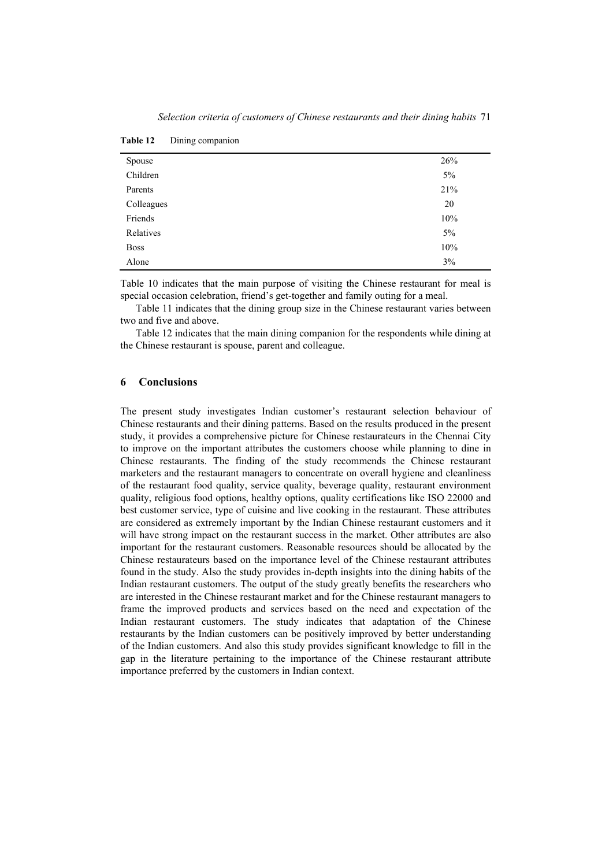*Selection criteria of customers of Chinese restaurants and their dining habits* 71

| Spouse      | 26% |
|-------------|-----|
| Children    | 5%  |
| Parents     | 21% |
| Colleagues  | 20  |
| Friends     | 10% |
| Relatives   | 5%  |
| <b>Boss</b> | 10% |
| Alone       | 3%  |

**Table 12** Dining companion

Table 10 indicates that the main purpose of visiting the Chinese restaurant for meal is special occasion celebration, friend's get-together and family outing for a meal.

Table 11 indicates that the dining group size in the Chinese restaurant varies between two and five and above.

Table 12 indicates that the main dining companion for the respondents while dining at the Chinese restaurant is spouse, parent and colleague.

## **6 Conclusions**

The present study investigates Indian customer's restaurant selection behaviour of Chinese restaurants and their dining patterns. Based on the results produced in the present study, it provides a comprehensive picture for Chinese restaurateurs in the Chennai City to improve on the important attributes the customers choose while planning to dine in Chinese restaurants. The finding of the study recommends the Chinese restaurant marketers and the restaurant managers to concentrate on overall hygiene and cleanliness of the restaurant food quality, service quality, beverage quality, restaurant environment quality, religious food options, healthy options, quality certifications like ISO 22000 and best customer service, type of cuisine and live cooking in the restaurant. These attributes are considered as extremely important by the Indian Chinese restaurant customers and it will have strong impact on the restaurant success in the market. Other attributes are also important for the restaurant customers. Reasonable resources should be allocated by the Chinese restaurateurs based on the importance level of the Chinese restaurant attributes found in the study. Also the study provides in-depth insights into the dining habits of the Indian restaurant customers. The output of the study greatly benefits the researchers who are interested in the Chinese restaurant market and for the Chinese restaurant managers to frame the improved products and services based on the need and expectation of the Indian restaurant customers. The study indicates that adaptation of the Chinese restaurants by the Indian customers can be positively improved by better understanding of the Indian customers. And also this study provides significant knowledge to fill in the gap in the literature pertaining to the importance of the Chinese restaurant attribute importance preferred by the customers in Indian context.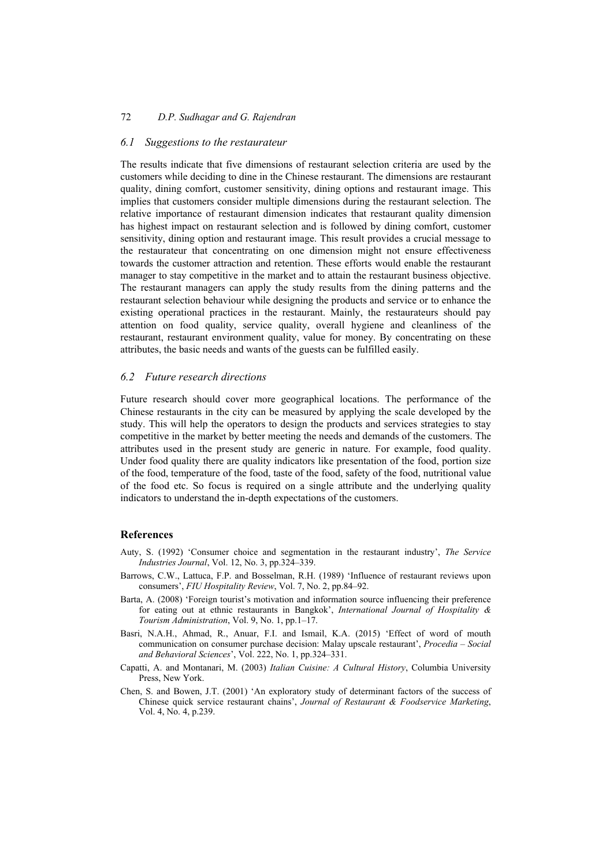#### *6.1 Suggestions to the restaurateur*

The results indicate that five dimensions of restaurant selection criteria are used by the customers while deciding to dine in the Chinese restaurant. The dimensions are restaurant quality, dining comfort, customer sensitivity, dining options and restaurant image. This implies that customers consider multiple dimensions during the restaurant selection. The relative importance of restaurant dimension indicates that restaurant quality dimension has highest impact on restaurant selection and is followed by dining comfort, customer sensitivity, dining option and restaurant image. This result provides a crucial message to the restaurateur that concentrating on one dimension might not ensure effectiveness towards the customer attraction and retention. These efforts would enable the restaurant manager to stay competitive in the market and to attain the restaurant business objective. The restaurant managers can apply the study results from the dining patterns and the restaurant selection behaviour while designing the products and service or to enhance the existing operational practices in the restaurant. Mainly, the restaurateurs should pay attention on food quality, service quality, overall hygiene and cleanliness of the restaurant, restaurant environment quality, value for money. By concentrating on these attributes, the basic needs and wants of the guests can be fulfilled easily.

#### *6.2 Future research directions*

Future research should cover more geographical locations. The performance of the Chinese restaurants in the city can be measured by applying the scale developed by the study. This will help the operators to design the products and services strategies to stay competitive in the market by better meeting the needs and demands of the customers. The attributes used in the present study are generic in nature. For example, food quality. Under food quality there are quality indicators like presentation of the food, portion size of the food, temperature of the food, taste of the food, safety of the food, nutritional value of the food etc. So focus is required on a single attribute and the underlying quality indicators to understand the in-depth expectations of the customers.

#### **References**

- Auty, S. (1992) 'Consumer choice and segmentation in the restaurant industry', *The Service Industries Journal*, Vol. 12, No. 3, pp.324–339.
- Barrows, C.W., Lattuca, F.P. and Bosselman, R.H. (1989) 'Influence of restaurant reviews upon consumers', *FIU Hospitality Review*, Vol. 7, No. 2, pp.84–92.
- Barta, A. (2008) 'Foreign tourist's motivation and information source influencing their preference for eating out at ethnic restaurants in Bangkok', *International Journal of Hospitality & Tourism Administration*, Vol. 9, No. 1, pp.1–17.
- Basri, N.A.H., Ahmad, R., Anuar, F.I. and Ismail, K.A. (2015) 'Effect of word of mouth communication on consumer purchase decision: Malay upscale restaurant', *Procedia – Social and Behavioral Sciences*', Vol. 222, No. 1, pp.324–331.
- Capatti, A. and Montanari, M. (2003) *Italian Cuisine: A Cultural History*, Columbia University Press, New York.
- Chen, S. and Bowen, J.T. (2001) 'An exploratory study of determinant factors of the success of Chinese quick service restaurant chains', *Journal of Restaurant & Foodservice Marketing*, Vol. 4, No. 4, p.239.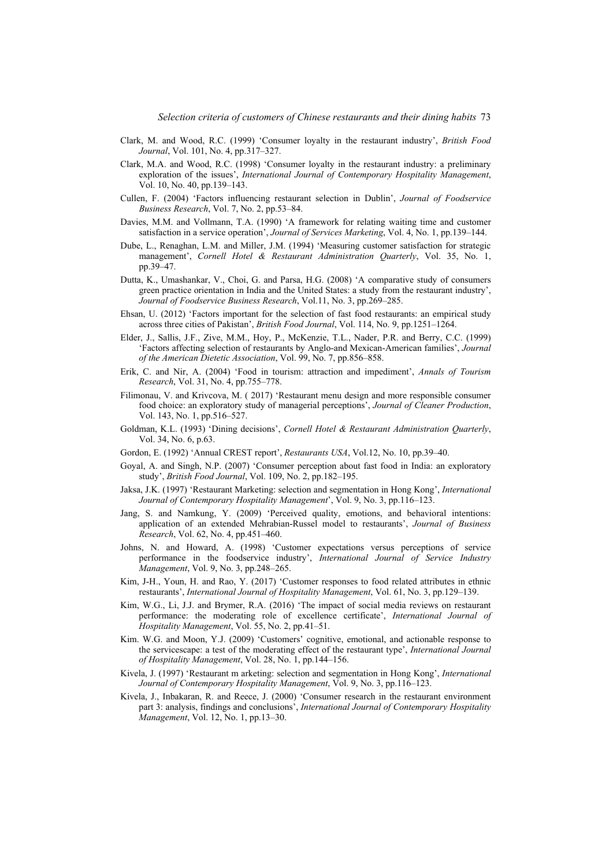- Clark, M. and Wood, R.C. (1999) 'Consumer loyalty in the restaurant industry', *British Food Journal*, Vol. 101, No. 4, pp.317–327.
- Clark, M.A. and Wood, R.C. (1998) 'Consumer loyalty in the restaurant industry: a preliminary exploration of the issues', *International Journal of Contemporary Hospitality Management*, Vol. 10, No. 40, pp.139–143.
- Cullen, F. (2004) 'Factors influencing restaurant selection in Dublin', *Journal of Foodservice Business Research*, Vol. 7, No. 2, pp.53–84.
- Davies, M.M. and Vollmann, T.A. (1990) 'A framework for relating waiting time and customer satisfaction in a service operation', *Journal of Services Marketing*, Vol. 4, No. 1, pp.139–144.
- Dube, L., Renaghan, L.M. and Miller, J.M. (1994) 'Measuring customer satisfaction for strategic management', *Cornell Hotel & Restaurant Administration Quarterly*, Vol. 35, No. 1, pp.39–47.
- Dutta, K., Umashankar, V., Choi, G. and Parsa, H.G. (2008) 'A comparative study of consumers green practice orientation in India and the United States: a study from the restaurant industry', *Journal of Foodservice Business Research*, Vol.11, No. 3, pp.269–285.
- Ehsan, U. (2012) 'Factors important for the selection of fast food restaurants: an empirical study across three cities of Pakistan', *British Food Journal*, Vol. 114, No. 9, pp.1251–1264.
- Elder, J., Sallis, J.F., Zive, M.M., Hoy, P., McKenzie, T.L., Nader, P.R. and Berry, C.C. (1999) 'Factors affecting selection of restaurants by Anglo-and Mexican-American families', *Journal of the American Dietetic Association*, Vol. 99, No. 7, pp.856–858.
- Erik, C. and Nir, A. (2004) 'Food in tourism: attraction and impediment', *Annals of Tourism Research*, Vol. 31, No. 4, pp.755–778.
- Filimonau, V. and Krivcova, M. ( 2017) 'Restaurant menu design and more responsible consumer food choice: an exploratory study of managerial perceptions', *Journal of Cleaner Production*, Vol. 143, No. 1, pp.516–527.
- Goldman, K.L. (1993) 'Dining decisions', *Cornell Hotel & Restaurant Administration Quarterly*, Vol. 34, No. 6, p.63.
- Gordon, E. (1992) 'Annual CREST report', *Restaurants USA*, Vol.12, No. 10, pp.39–40.
- Goyal, A. and Singh, N.P. (2007) 'Consumer perception about fast food in India: an exploratory study', *British Food Journal*, Vol. 109, No. 2, pp.182–195.
- Jaksa, J.K. (1997) 'Restaurant Marketing: selection and segmentation in Hong Kong', *International Journal of Contemporary Hospitality Management*', Vol. 9, No. 3, pp.116–123.
- Jang, S. and Namkung, Y. (2009) 'Perceived quality, emotions, and behavioral intentions: application of an extended Mehrabian-Russel model to restaurants', *Journal of Business Research*, Vol. 62, No. 4, pp.451–460.
- Johns, N. and Howard, A. (1998) 'Customer expectations versus perceptions of service performance in the foodservice industry', *International Journal of Service Industry Management*, Vol. 9, No. 3, pp.248–265.
- Kim, J-H., Youn, H. and Rao, Y. (2017) 'Customer responses to food related attributes in ethnic restaurants', *International Journal of Hospitality Management*, Vol. 61, No. 3, pp.129–139.
- Kim, W.G., Li, J.J. and Brymer, R.A. (2016) 'The impact of social media reviews on restaurant performance: the moderating role of excellence certificate', *International Journal of Hospitality Management*, Vol. 55, No. 2, pp.41–51.
- Kim. W.G. and Moon, Y.J. (2009) 'Customers' cognitive, emotional, and actionable response to the servicescape: a test of the moderating effect of the restaurant type', *International Journal of Hospitality Management*, Vol. 28, No. 1, pp.144–156.
- Kivela, J. (1997) 'Restaurant m arketing: selection and segmentation in Hong Kong', *International Journal of Contemporary Hospitality Management*, Vol. 9, No. 3, pp.116–123.
- Kivela, J., Inbakaran, R. and Reece, J. (2000) 'Consumer research in the restaurant environment part 3: analysis, findings and conclusions', *International Journal of Contemporary Hospitality Management*, Vol. 12, No. 1, pp.13–30.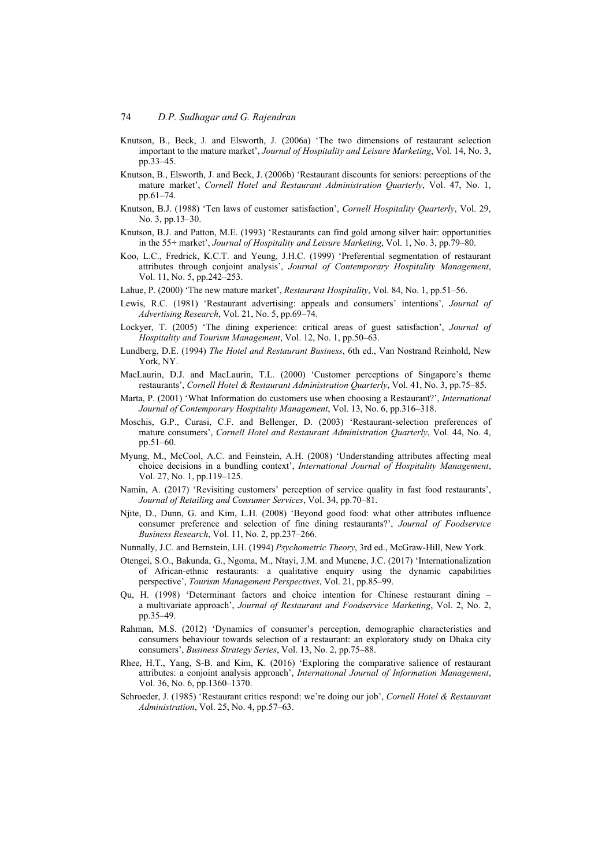- Knutson, B., Beck, J. and Elsworth, J. (2006a) 'The two dimensions of restaurant selection important to the mature market', *Journal of Hospitality and Leisure Marketing*, Vol. 14, No. 3, pp.33–45.
- Knutson, B., Elsworth, J. and Beck, J. (2006b) 'Restaurant discounts for seniors: perceptions of the mature market', *Cornell Hotel and Restaurant Administration Quarterly*, Vol. 47, No. 1, pp.61–74.
- Knutson, B.J. (1988) 'Ten laws of customer satisfaction', *Cornell Hospitality Quarterly*, Vol. 29, No. 3, pp.13–30.
- Knutson, B.J. and Patton, M.E. (1993) 'Restaurants can find gold among silver hair: opportunities in the 55+ market', *Journal of Hospitality and Leisure Marketing*, Vol. 1, No. 3, pp.79–80.
- Koo, L.C., Fredrick, K.C.T. and Yeung, J.H.C. (1999) 'Preferential segmentation of restaurant attributes through conjoint analysis', *Journal of Contemporary Hospitality Management*, Vol. 11, No. 5, pp.242–253.
- Lahue, P. (2000) 'The new mature market', *Restaurant Hospitality*, Vol. 84, No. 1, pp.51–56.
- Lewis, R.C. (1981) 'Restaurant advertising: appeals and consumers' intentions', *Journal of Advertising Research*, Vol. 21, No. 5, pp.69–74.
- Lockyer, T. (2005) 'The dining experience: critical areas of guest satisfaction', *Journal of Hospitality and Tourism Management*, Vol. 12, No. 1, pp.50–63.
- Lundberg, D.E. (1994) *The Hotel and Restaurant Business*, 6th ed., Van Nostrand Reinhold, New York, NY.
- MacLaurin, D.J. and MacLaurin, T.L. (2000) 'Customer perceptions of Singapore's theme restaurants', *Cornell Hotel & Restaurant Administration Quarterly*, Vol. 41, No. 3, pp.75–85.
- Marta, P. (2001) 'What Information do customers use when choosing a Restaurant?', *International Journal of Contemporary Hospitality Management*, Vol. 13, No. 6, pp.316–318.
- Moschis, G.P., Curasi, C.F. and Bellenger, D. (2003) 'Restaurant-selection preferences of mature consumers', *Cornell Hotel and Restaurant Administration Quarterly*, Vol. 44, No. 4, pp.51–60.
- Myung, M., McCool, A.C. and Feinstein, A.H. (2008) 'Understanding attributes affecting meal choice decisions in a bundling context', *International Journal of Hospitality Management*, Vol. 27, No. 1, pp.119–125.
- Namin, A. (2017) 'Revisiting customers' perception of service quality in fast food restaurants', *Journal of Retailing and Consumer Services*, Vol. 34, pp.70–81.
- Njite, D., Dunn, G. and Kim, L.H. (2008) 'Beyond good food: what other attributes influence consumer preference and selection of fine dining restaurants?', *Journal of Foodservice Business Research*, Vol. 11, No. 2, pp.237–266.
- Nunnally, J.C. and Bernstein, I.H. (1994) *Psychometric Theory*, 3rd ed., McGraw-Hill, New York.
- Otengei, S.O., Bakunda, G., Ngoma, M., Ntayi, J.M. and Munene, J.C. (2017) 'Internationalization of African-ethnic restaurants: a qualitative enquiry using the dynamic capabilities perspective', *Tourism Management Perspectives*, Vol. 21, pp.85–99.
- Qu, H. (1998) 'Determinant factors and choice intention for Chinese restaurant dining a multivariate approach', *Journal of Restaurant and Foodservice Marketing*, Vol. 2, No. 2, pp.35–49.
- Rahman, M.S. (2012) 'Dynamics of consumer's perception, demographic characteristics and consumers behaviour towards selection of a restaurant: an exploratory study on Dhaka city consumers', *Business Strategy Series*, Vol. 13, No. 2, pp.75–88.
- Rhee, H.T., Yang, S-B. and Kim, K. (2016) 'Exploring the comparative salience of restaurant attributes: a conjoint analysis approach', *International Journal of Information Management*, Vol. 36, No. 6, pp.1360–1370.
- Schroeder, J. (1985) 'Restaurant critics respond: we're doing our job', *Cornell Hotel & Restaurant Administration*, Vol. 25, No. 4, pp.57–63.